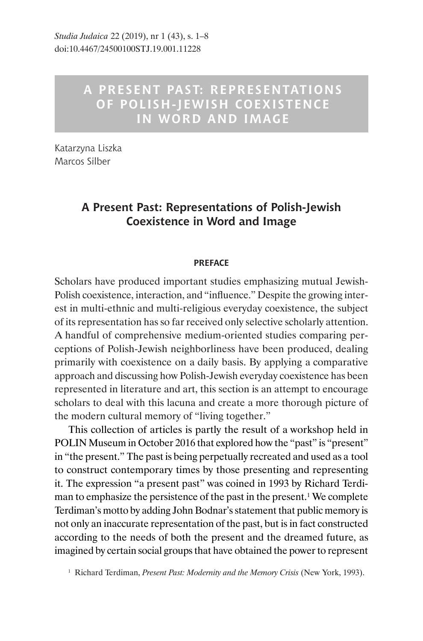## **A PRESENT PAST: REPRESENTATIONS OF POLISH-JEWISH COEXISTENCE IN WORD AND IMAGE**

Katarzyna Liszka, Marcos Silber

## **A Present Past: Representations of Polish-Jewish Coexistence in Word and Image**

## **PREFACE**

Scholars have produced important studies emphasizing mutual Jewish-Polish coexistence, interaction, and "influence." Despite the growing interest in multi-ethnic and multi-religious everyday coexistence, the subject of its representation has so far received only selective scholarly attention. A handful of comprehensive medium-oriented studies comparing perceptions of Polish-Jewish neighborliness have been produced, dealing primarily with coexistence on a daily basis. By applying a comparative approach and discussing how Polish-Jewish everyday coexistence has been represented in literature and art, this section is an attempt to encourage scholars to deal with this lacuna and create a more thorough picture of the modern cultural memory of "living together."

This collection of articles is partly the result of a workshop held in POLIN Museum in October 2016 that explored how the "past" is "present" in "the present." The past is being perpetually recreated and used as a tool to construct contemporary times by those presenting and representing it. The expression "a present past" was coined in 1993 by Richard Terdiman to emphasize the persistence of the past in the present.<sup>1</sup> We complete Terdiman's motto by adding John Bodnar's statement that public memory is not only an inaccurate representation of the past, but is in fact constructed according to the needs of both the present and the dreamed future, as imagined by certain social groups that have obtained the power to represent

<sup>1</sup> Richard Terdiman, *Present Past: Modernity and the Memory Crisis* (New York, 1993).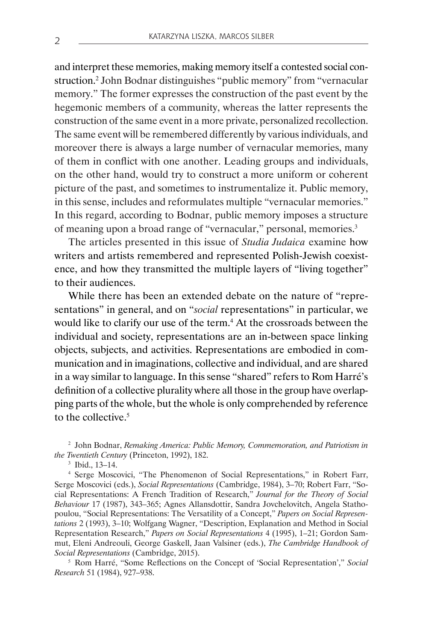and interpret these memories, making memory itself a contested social construction.2 John Bodnar distinguishes "public memory" from "vernacular memory." The former expresses the construction of the past event by the hegemonic members of a community, whereas the latter represents the construction of the same event in a more private, personalized recollection. The same event will be remembered differently by various individuals, and moreover there is always a large number of vernacular memories, many of them in conflict with one another. Leading groups and individuals, on the other hand, would try to construct a more uniform or coherent picture of the past, and sometimes to instrumentalize it. Public memory, in this sense, includes and reformulates multiple "vernacular memories." In this regard, according to Bodnar, public memory imposes a structure of meaning upon a broad range of "vernacular," personal, memories.<sup>3</sup>

The articles presented in this issue of *Studia Judaica* examine how writers and artists remembered and represented Polish-Jewish coexistence, and how they transmitted the multiple layers of "living together" to their audiences.

While there has been an extended debate on the nature of "representations" in general, and on "*social* representations" in particular, we would like to clarify our use of the term.<sup>4</sup> At the crossroads between the individual and society, representations are an in-between space linking objects, subjects, and activities. Representations are embodied in communication and in imaginations, collective and individual, and are shared in a way similar to language. In this sense "shared" refers to Rom Harré's definition of a collective plurality where all those in the group have overlapping parts of the whole, but the whole is only comprehended by reference to the collective.<sup>5</sup>

<sup>2</sup> John Bodnar, *Remaking America: Public Memory, Commemoration, and Patriotism in the Twentieth Century* (Princeton, 1992), 182.

<sup>3</sup> Ibid., 13–14.

<sup>4</sup> Serge Moscovici, "The Phenomenon of Social Representations," in Robert Farr, Serge Moscovici (eds.), *Social Representations* (Cambridge, 1984), 3–70; Robert Farr, "Social Representations: A French Tradition of Research," *Journal for the Theory of Social Behaviour* 17 (1987), 343–365; Agnes Allansdottir, Sandra Jovchelovitch, Angela Stathopoulou, "Social Representations: The Versatility of a Concept," *Papers on Social Representations* 2 (1993), 3–10; Wolfgang Wagner, "Description, Explanation and Method in Social Representation Research," *Papers on Social Representations* 4 (1995), 1–21; Gordon Sammut, Eleni Andreouli, George Gaskell, Jaan Valsiner (eds.), *The Cambridge Handbook of Social Representations* (Cambridge, 2015).

<sup>5</sup> Rom Harré, "Some Reflections on the Concept of 'Social Representation'," *Social Research* 51 (1984), 927–938.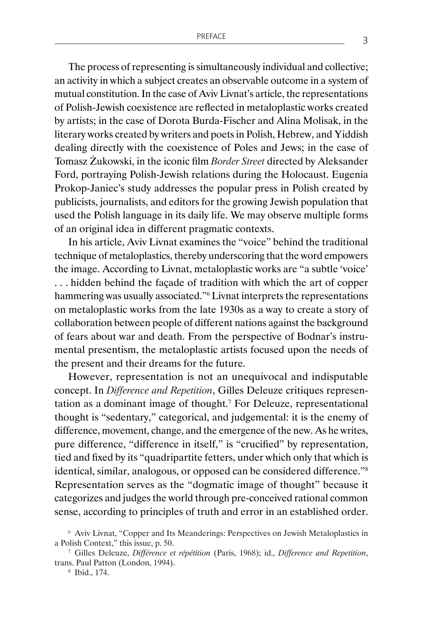The process of representing is simultaneously individual and collective; an activity in which a subject creates an observable outcome in a system of mutual constitution. In the case of Aviv Livnat's article, the representations of Polish-Jewish coexistence are reflected in metaloplastic works created by artists; in the case of Dorota Burda-Fischer and Alina Molisak, in the literary works created by writers and poets in Polish, Hebrew, and Yiddish dealing directly with the coexistence of Poles and Jews; in the case of Tomasz Żukowski, in the iconic film *Border Street* directed by Aleksander Ford, portraying Polish-Jewish relations during the Holocaust. Eugenia Prokop-Janiec's study addresses the popular press in Polish created by publicists, journalists, and editors for the growing Jewish population that used the Polish language in its daily life. We may observe multiple forms of an original idea in different pragmatic contexts.

In his article, Aviv Livnat examines the "voice" behind the traditional technique of metaloplastics, thereby underscoring that the word empowers the image. According to Livnat, metaloplastic works are "a subtle 'voice' . . . hidden behind the façade of tradition with which the art of copper hammering was usually associated."<sup>6</sup> Livnat interprets the representations on metaloplastic works from the late 1930s as a way to create a story of collaboration between people of different nations against the background of fears about war and death. From the perspective of Bodnar's instrumental presentism, the metaloplastic artists focused upon the needs of the present and their dreams for the future.

However, representation is not an unequivocal and indisputable concept. In *Difference and Repetition*, Gilles Deleuze critiques representation as a dominant image of thought.7 For Deleuze, representational thought is "sedentary," categorical, and judgemental: it is the enemy of difference, movement, change, and the emergence of the new. As he writes, pure difference, "difference in itself," is "crucified" by representation, tied and fixed by its "quadripartite fetters, under which only that which is identical, similar, analogous, or opposed can be considered difference."<sup>8</sup> Representation serves as the "dogmatic image of thought" because it categorizes and judges the world through pre-conceived rational common sense, according to principles of truth and error in an established order.

<sup>6</sup> Aviv Livnat, "Copper and Its Meanderings: Perspectives on Jewish Metaloplastics in a Polish Context," this issue, p. 50.

<sup>7</sup> Gilles Deleuze, *Différence et répétition* (Paris, 1968); id., *Difference and Repetition*, trans. Paul Patton (London, 1994).

<sup>8</sup> Ibid., 174.